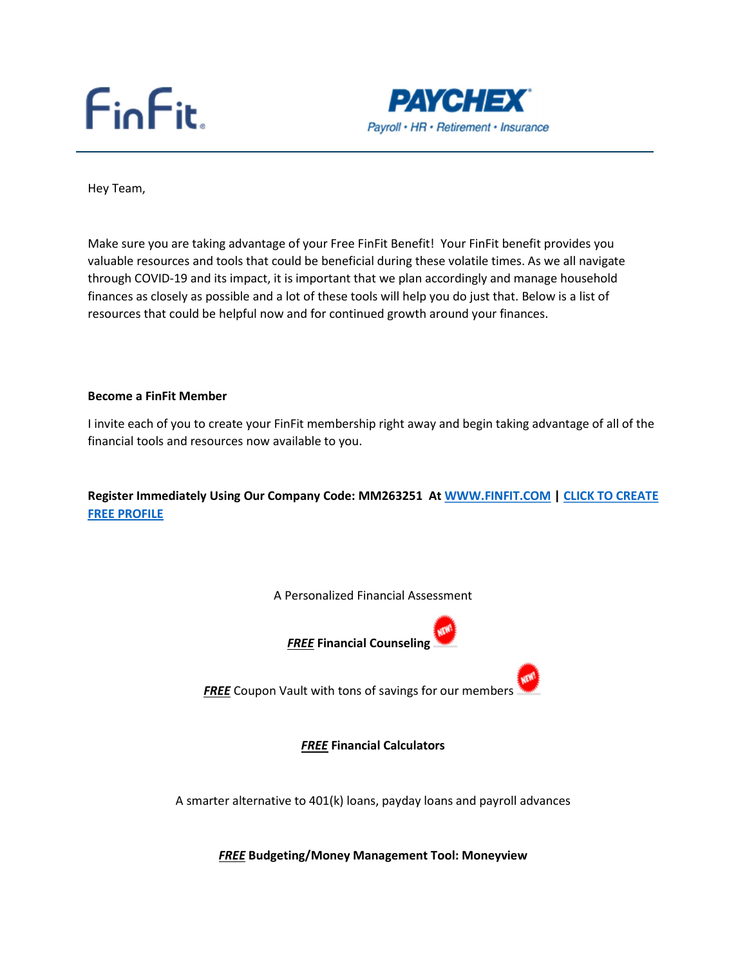# $FinFit.$



Hey Team,

Make sure you are taking advantage of your Free FinFit Benefit! Your FinFit benefit provides you valuable resources and tools that could be beneficial during these volatile times. As we all navigate through COVID-19 and its impact, it is important that we plan accordingly and manage household finances as closely as possible and a lot of these tools will help you do just that. Below is a list of resources that could be helpful now and for continued growth around your finances.

#### Become a FinFit Member

I invite each of you to create your FinFit membership right away and begin taking advantage of all of the financial tools and resources now available to you.

Register Immediately Using Our Company Code: MM263251 At WWW.FINFIT.COM | CLICK TO CREATE FREE PROFILE

A Personalized Financial Assessment



FREE Coupon Vault with tons of savings for our members

FREE Financial Calculators

A smarter alternative to 401(k) loans, payday loans and payroll advances

**FREE Budgeting/Money Management Tool: Moneyview**